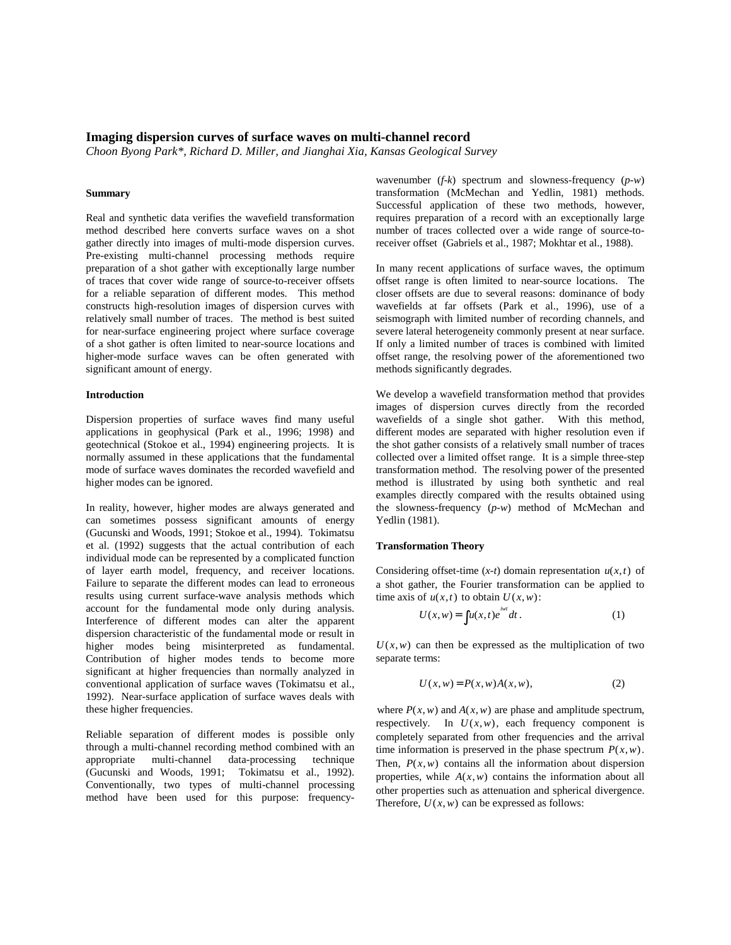# **Imaging dispersion curves of surface waves on multi-channel record**

*Choon Byong Park\*, Richard D. Miller, and Jianghai Xia, Kansas Geological Survey*

# **Summary**

Real and synthetic data verifies the wavefield transformation method described here converts surface waves on a shot gather directly into images of multi-mode dispersion curves. Pre-existing multi-channel processing methods require preparation of a shot gather with exceptionally large number of traces that cover wide range of source-to-receiver offsets for a reliable separation of different modes. This method constructs high-resolution images of dispersion curves with relatively small number of traces. The method is best suited for near-surface engineering project where surface coverage of a shot gather is often limited to near-source locations and higher-mode surface waves can be often generated with significant amount of energy.

# **Introduction**

Dispersion properties of surface waves find many useful applications in geophysical (Park et al., 1996; 1998) and geotechnical (Stokoe et al., 1994) engineering projects. It is normally assumed in these applications that the fundamental mode of surface waves dominates the recorded wavefield and higher modes can be ignored.

In reality, however, higher modes are always generated and can sometimes possess significant amounts of energy (Gucunski and Woods, 1991; Stokoe et al., 1994). Tokimatsu et al. (1992) suggests that the actual contribution of each individual mode can be represented by a complicated function of layer earth model, frequency, and receiver locations. Failure to separate the different modes can lead to erroneous results using current surface-wave analysis methods which account for the fundamental mode only during analysis. Interference of different modes can alter the apparent dispersion characteristic of the fundamental mode or result in higher modes being misinterpreted as fundamental. Contribution of higher modes tends to become more significant at higher frequencies than normally analyzed in conventional application of surface waves (Tokimatsu et al., 1992). Near-surface application of surface waves deals with these higher frequencies.

Reliable separation of different modes is possible only through a multi-channel recording method combined with an appropriate multi-channel data-processing technique (Gucunski and Woods, 1991; Tokimatsu et al., 1992). Conventionally, two types of multi-channel processing method have been used for this purpose: frequencywavenumber (*f-k*) spectrum and slowness-frequency (*p-w*) transformation (McMechan and Yedlin, 1981) methods. Successful application of these two methods, however, requires preparation of a record with an exceptionally large number of traces collected over a wide range of source-toreceiver offset (Gabriels et al., 1987; Mokhtar et al., 1988).

In many recent applications of surface waves, the optimum offset range is often limited to near-source locations. The closer offsets are due to several reasons: dominance of body wavefields at far offsets (Park et al., 1996), use of a seismograph with limited number of recording channels, and severe lateral heterogeneity commonly present at near surface. If only a limited number of traces is combined with limited offset range, the resolving power of the aforementioned two methods significantly degrades.

We develop a wavefield transformation method that provides images of dispersion curves directly from the recorded wavefields of a single shot gather. With this method, different modes are separated with higher resolution even if the shot gather consists of a relatively small number of traces collected over a limited offset range. It is a simple three-step transformation method. The resolving power of the presented method is illustrated by using both synthetic and real examples directly compared with the results obtained using the slowness-frequency (*p-w*) method of McMechan and Yedlin (1981).

## **Transformation Theory**

Considering offset-time  $(x-t)$  domain representation  $u(x,t)$  of a shot gather, the Fourier transformation can be applied to time axis of  $u(x,t)$  to obtain  $U(x,w)$ :

$$
U(x, w) = \int u(x, t)e^{iwt}dt.
$$
 (1)

 $U(x, w)$  can then be expressed as the multiplication of two separate terms:

$$
U(x, w) = P(x, w)A(x, w),
$$
 (2)

where  $P(x, w)$  and  $A(x, w)$  are phase and amplitude spectrum, respectively. In  $U(x, w)$ , each frequency component is completely separated from other frequencies and the arrival time information is preserved in the phase spectrum  $P(x, w)$ . Then,  $P(x, w)$  contains all the information about dispersion properties, while  $A(x, w)$  contains the information about all other properties such as attenuation and spherical divergence. Therefore,  $U(x, w)$  can be expressed as follows: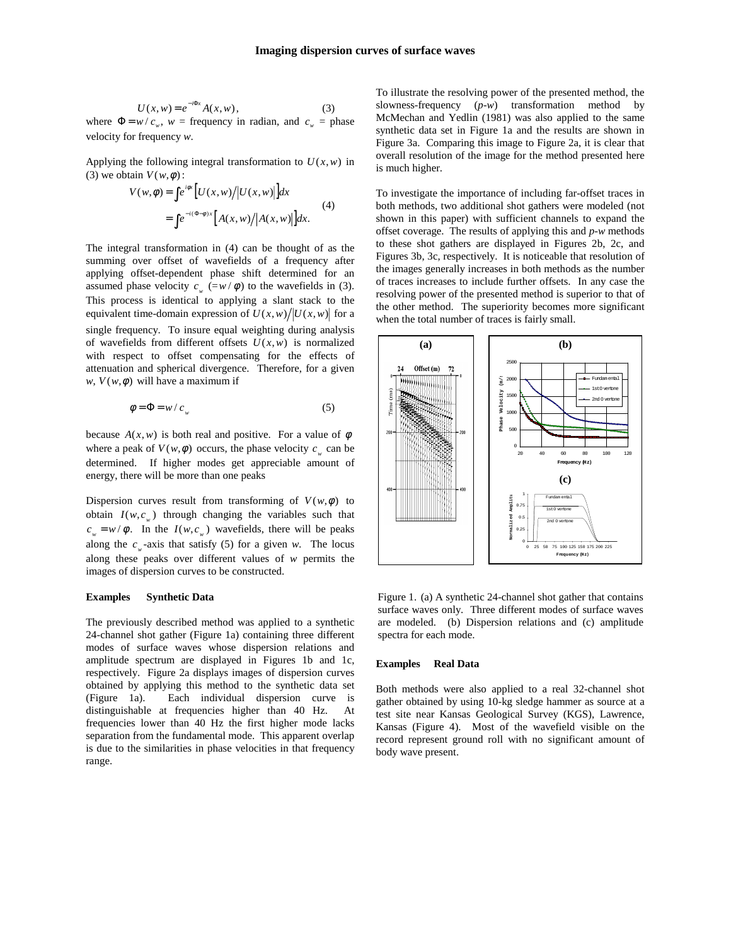$$
U(x, w) = e^{-i\Phi x} A(x, w), \qquad (3)
$$

where  $\Phi = w / c_w$ ,  $w = \text{frequency in radian, and } c_w = \text{phase}$ velocity for frequency *w*.

Applying the following integral transformation to  $U(x, w)$  in (3) we obtain  $V(w, \phi)$ :

$$
V(w, \phi) = \int e^{i\phi x} \left[ U(x, w) / \left| U(x, w) \right| \right] dx
$$
  
= 
$$
\int e^{-i(\Phi - \phi)x} \left[ A(x, w) / \left| A(x, w) \right| \right] dx.
$$
 (4)

The integral transformation in (4) can be thought of as the summing over offset of wavefields of a frequency after applying offset-dependent phase shift determined for an assumed phase velocity  $c_w$  (=w/ $\phi$ ) to the wavefields in (3). This process is identical to applying a slant stack to the equivalent time-domain expression of  $U(x, w) / |U(x, w)|$  for a single frequency. To insure equal weighting during analysis of wavefields from different offsets  $U(x, w)$  is normalized with respect to offset compensating for the effects of attenuation and spherical divergence. Therefore, for a given *w*,  $V(w, \phi)$  will have a maximum if

$$
\phi = \Phi = w / c_w \tag{5}
$$

because  $A(x, w)$  is both real and positive. For a value of  $\phi$ where a peak of  $V(w, \phi)$  occurs, the phase velocity  $c_w$  can be determined. If higher modes get appreciable amount of energy, there will be more than one peaks

Dispersion curves result from transforming of  $V(w, \phi)$  to obtain  $I(w, c_w)$  through changing the variables such that  $c_w = w / \phi$ . In the *I*(*w*, *c<sub>w</sub>*) wavefields, there will be peaks along the  $c_w$ -axis that satisfy (5) for a given *w*. The locus along these peaks over different values of *w* permits the images of dispersion curves to be constructed.

# **Examples Synthetic Data**

The previously described method was applied to a synthetic 24-channel shot gather (Figure 1a) containing three different modes of surface waves whose dispersion relations and amplitude spectrum are displayed in Figures 1b and 1c, respectively. Figure 2a displays images of dispersion curves obtained by applying this method to the synthetic data set (Figure 1a). Each individual dispersion curve is distinguishable at frequencies higher than 40 Hz. At frequencies lower than 40 Hz the first higher mode lacks separation from the fundamental mode. This apparent overlap is due to the similarities in phase velocities in that frequency range.

To illustrate the resolving power of the presented method, the slowness-frequency (*p-w*) transformation method by McMechan and Yedlin (1981) was also applied to the same synthetic data set in Figure 1a and the results are shown in Figure 3a. Comparing this image to Figure 2a, it is clear that overall resolution of the image for the method presented here is much higher.

To investigate the importance of including far-offset traces in both methods, two additional shot gathers were modeled (not shown in this paper) with sufficient channels to expand the offset coverage. The results of applying this and *p-w* methods to these shot gathers are displayed in Figures 2b, 2c, and Figures 3b, 3c, respectively. It is noticeable that resolution of the images generally increases in both methods as the number of traces increases to include further offsets. In any case the resolving power of the presented method is superior to that of the other method. The superiority becomes more significant when the total number of traces is fairly small.



Figure 1. (a) A synthetic 24-channel shot gather that contains surface waves only. Three different modes of surface waves are modeled. (b) Dispersion relations and (c) amplitude spectra for each mode.

#### **Examples Real Data**

Both methods were also applied to a real 32-channel shot gather obtained by using 10-kg sledge hammer as source at a test site near Kansas Geological Survey (KGS), Lawrence, Kansas (Figure 4). Most of the wavefield visible on the record represent ground roll with no significant amount of body wave present.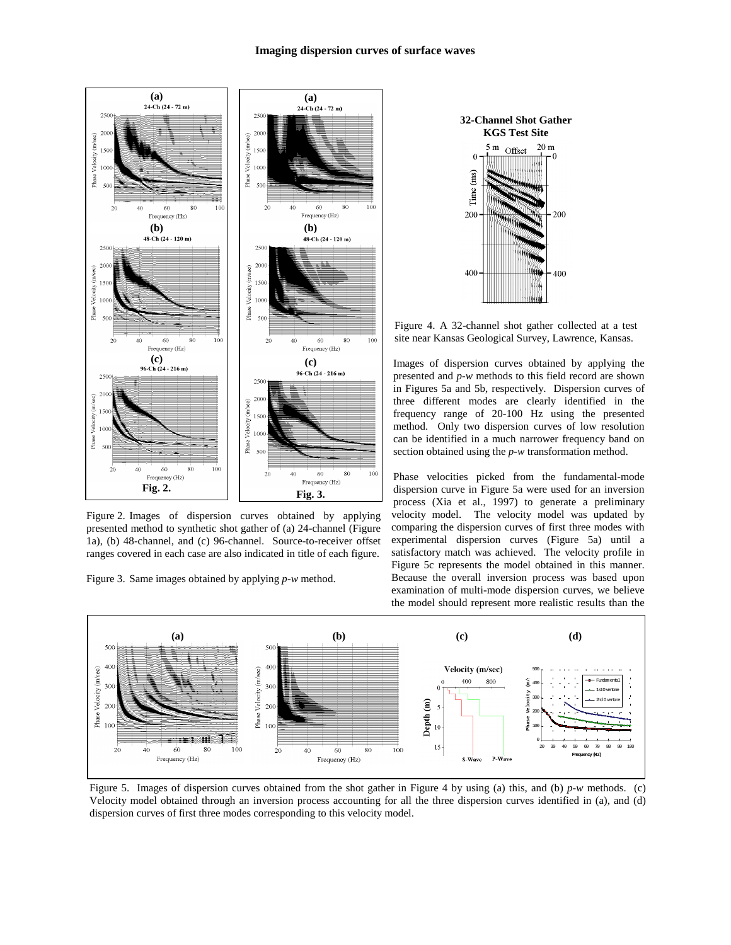

Figure 2. Images of dispersion curves obtained by applying presented method to synthetic shot gather of (a) 24-channel (Figure 1a), (b) 48-channel, and (c) 96-channel. Source-to-receiver offset ranges covered in each case are also indicated in title of each figure.

Figure 3. Same images obtained by applying *p-w* method.



Figure 4. A 32-channel shot gather collected at a test site near Kansas Geological Survey, Lawrence, Kansas.

Images of dispersion curves obtained by applying the presented and *p-w* methods to this field record are shown in Figures 5a and 5b, respectively. Dispersion curves of three different modes are clearly identified in the frequency range of 20-100 Hz using the presented method. Only two dispersion curves of low resolution can be identified in a much narrower frequency band on section obtained using the *p-w* transformation method.

Phase velocities picked from the fundamental-mode dispersion curve in Figure 5a were used for an inversion process (Xia et al., 1997) to generate a preliminary velocity model. The velocity model was updated by comparing the dispersion curves of first three modes with experimental dispersion curves (Figure 5a) until a satisfactory match was achieved. The velocity profile in Figure 5c represents the model obtained in this manner. Because the overall inversion process was based upon examination of multi-mode dispersion curves, we believe the model should represent more realistic results than the



Figure 5. Images of dispersion curves obtained from the shot gather in Figure 4 by using (a) this, and (b) *p-w* methods. (c) Velocity model obtained through an inversion process accounting for all the three dispersion curves identified in (a), and (d) dispersion curves of first three modes corresponding to this velocity model.